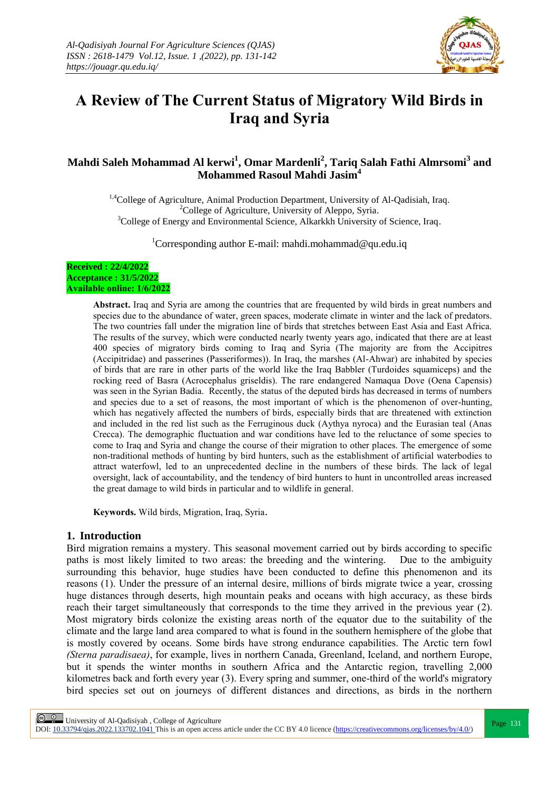

# **A Review of The Current Status of Migratory Wild Birds in Iraq and Syria**

# **Mahdi Saleh Mohammad Al kerwi<sup>1</sup> , Omar Mardenli<sup>2</sup> , Tariq Salah Fathi Almrsomi<sup>3</sup> and Mohammed Rasoul Mahdi Jasim<sup>4</sup>**

<sup>1,4</sup>College of Agriculture, Animal Production Department, University of Al-Qadisiah, Iraq. <sup>2</sup>College of Agriculture, University of Aleppo, Syria. <sup>3</sup>College of Energy and Environmental Science, Alkarkkh University of Science, Iraq.

<sup>1</sup>Corresponding author E-mail: mahdi.mohammad@qu.edu.iq

#### **Received : 22/4/2022 Acceptance : 31/5/2022 Available online: 1/6/2022**

**Abstract.** Iraq and Syria are among the countries that are frequented by wild birds in great numbers and species due to the abundance of water, green spaces, moderate climate in winter and the lack of predators. The two countries fall under the migration line of birds that stretches between East Asia and East Africa. The results of the survey, which were conducted nearly twenty years ago, indicated that there are at least 400 species of migratory birds coming to Iraq and Syria (The majority are from the Accipitres (Accipitridae) and passerines (Passeriformes)). In Iraq, the marshes (Al-Ahwar) are inhabited by species of birds that are rare in other parts of the world like the Iraq Babbler (Turdoides squamiceps) and the rocking reed of Basra (Acrocephalus griseldis). The rare endangered Namaqua Dove (Oena Capensis) was seen in the Syrian Badia. Recently, the status of the deputed birds has decreased in terms of numbers and species due to a set of reasons, the most important of which is the phenomenon of over-hunting, which has negatively affected the numbers of birds, especially birds that are threatened with extinction and included in the red list such as the Ferruginous duck (Aythya nyroca) and the Eurasian teal (Anas Crecca). The demographic fluctuation and war conditions have led to the reluctance of some species to come to Iraq and Syria and change the course of their migration to other places. The emergence of some non-traditional methods of hunting by bird hunters, such as the establishment of artificial waterbodies to attract waterfowl, led to an unprecedented decline in the numbers of these birds. The lack of legal oversight, lack of accountability, and the tendency of bird hunters to hunt in uncontrolled areas increased the great damage to wild birds in particular and to wildlife in general.

**Keywords.** Wild birds, Migration, Iraq, Syria.

## **1. Introduction**

Bird migration remains a mystery. This seasonal movement carried out by birds according to specific paths is most likely limited to two areas: the breeding and the wintering. Due to the ambiguity surrounding this behavior, huge studies have been conducted to define this phenomenon and its reasons (1). Under the pressure of an internal desire, millions of birds migrate twice a year, crossing huge distances through deserts, high mountain peaks and oceans with high accuracy, as these birds reach their target simultaneously that corresponds to the time they arrived in the previous year (2). Most migratory birds colonize the existing areas north of the equator due to the suitability of the climate and the large land area compared to what is found in the southern hemisphere of the globe that is mostly covered by oceans. Some birds have strong endurance capabilities. The Arctic tern fowl *(Sterna paradisaea)*, for example, lives in northern Canada, Greenland, Iceland, and northern Europe, but it spends the winter months in southern Africa and the Antarctic region, travelling 2,000 kilometres back and forth every year (3). Every spring and summer, one-third of the world's migratory bird species set out on journeys of different distances and directions, as birds in the northern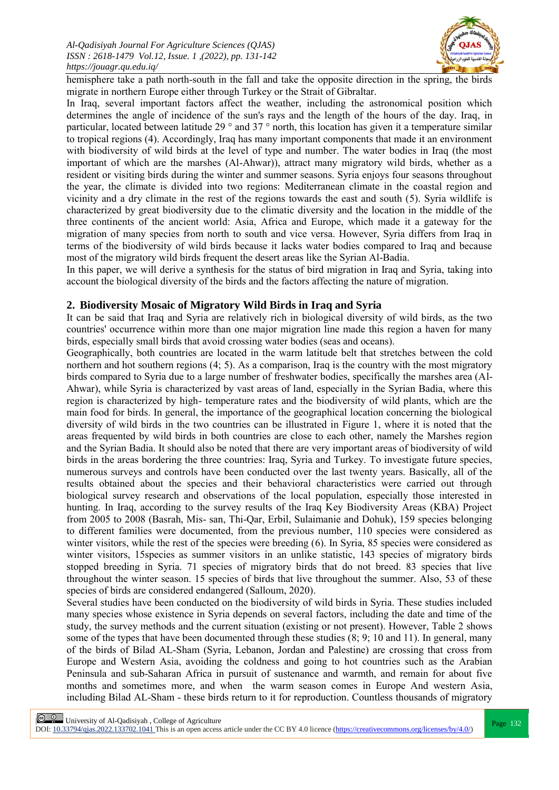

hemisphere take a path north-south in the fall and take the opposite direction in the spring, the birds migrate in northern Europe either through Turkey or the Strait of Gibraltar.

In Iraq, several important factors affect the weather, including the astronomical position which determines the angle of incidence of the sun's rays and the length of the hours of the day. Iraq, in particular, located between latitude 29 ° and 37 ° north, this location has given it a temperature similar to tropical regions (4). Accordingly, Iraq has many important components that made it an environment with biodiversity of wild birds at the level of type and number. The water bodies in Iraq (the most important of which are the marshes (Al-Ahwar)), attract many migratory wild birds, whether as a resident or visiting birds during the winter and summer seasons. Syria enjoys four seasons throughout the year, the climate is divided into two regions: Mediterranean climate in the coastal region and vicinity and a dry climate in the rest of the regions towards the east and south (5). Syria wildlife is characterized by great biodiversity due to the climatic diversity and the location in the middle of the three continents of the ancient world: Asia, Africa and Europe, which made it a gateway for the migration of many species from north to south and vice versa. However, Syria differs from Iraq in terms of the biodiversity of wild birds because it lacks water bodies compared to Iraq and because most of the migratory wild birds frequent the desert areas like the Syrian Al-Badia.

In this paper, we will derive a synthesis for the status of bird migration in Iraq and Syria, taking into account the biological diversity of the birds and the factors affecting the nature of migration.

## **2. Biodiversity Mosaic of Migratory Wild Birds in Iraq and Syria**

It can be said that Iraq and Syria are relatively rich in biological diversity of wild birds, as the two countries' occurrence within more than one major migration line made this region a haven for many birds, especially small birds that avoid crossing water bodies (seas and oceans).

Geographically, both countries are located in the warm latitude belt that stretches between the cold northern and hot southern regions (4; 5). As a comparison, Iraq is the country with the most migratory birds compared to Syria due to a large number of freshwater bodies, specifically the marshes area (Al-Ahwar), while Syria is characterized by vast areas of land, especially in the Syrian Badia, where this region is characterized by high- temperature rates and the biodiversity of wild plants, which are the main food for birds. In general, the importance of the geographical location concerning the biological diversity of wild birds in the two countries can be illustrated in Figure 1, where it is noted that the areas frequented by wild birds in both countries are close to each other, namely the Marshes region and the Syrian Badia. It should also be noted that there are very important areas of biodiversity of wild birds in the areas bordering the three countries: Iraq, Syria and Turkey. To investigate future species, numerous surveys and controls have been conducted over the last twenty years. Basically, all of the results obtained about the species and their behavioral characteristics were carried out through biological survey research and observations of the local population, especially those interested in hunting. In Iraq, according to the survey results of the Iraq Key Biodiversity Areas (KBA) Project from 2005 to 2008 (Basrah, Mis- san, Thi-Qar, Erbil, Sulaimanie and Dohuk), 159 species belonging to different families were documented, from the previous number, 110 species were considered as winter visitors, while the rest of the species were breeding (6). In Syria, 85 species were considered as winter visitors, 15species as summer visitors in an unlike statistic, 143 species of migratory birds stopped breeding in Syria. 71 species of migratory birds that do not breed. 83 species that live throughout the winter season. 15 species of birds that live throughout the summer. Also, 53 of these species of birds are considered endangered (Salloum, 2020).

Several studies have been conducted on the biodiversity of wild birds in Syria. These studies included many species whose existence in Syria depends on several factors, including the date and time of the study, the survey methods and the current situation (existing or not present). However, Table 2 shows some of the types that have been documented through these studies (8; 9; 10 and 11). In general, many of the birds of Bilad AL-Sham (Syria, Lebanon, Jordan and Palestine) are crossing that cross from Europe and Western Asia, avoiding the coldness and going to hot countries such as the Arabian Peninsula and sub-Saharan Africa in pursuit of sustenance and warmth, and remain for about five months and sometimes more, and when the warm season comes in Europe And western Asia, including Bilad AL-Sham - these birds return to it for reproduction. Countless thousands of migratory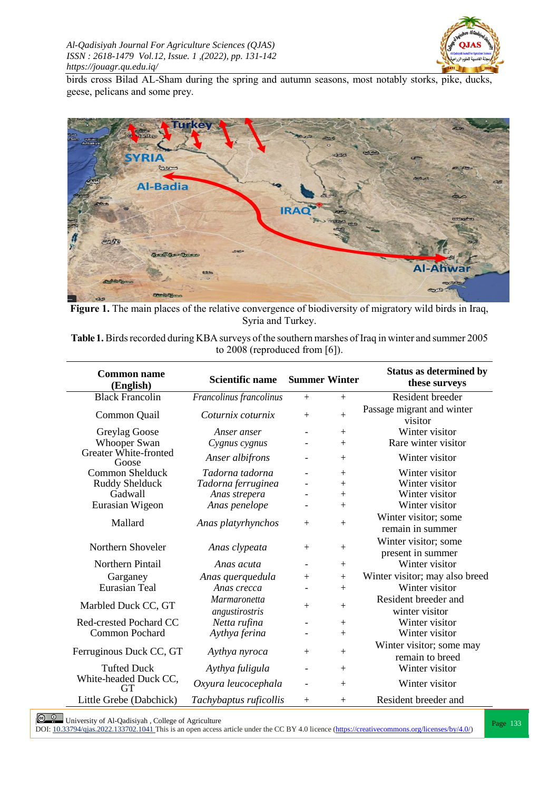

birds cross Bilad AL-Sham during the spring and autumn seasons, most notably storks, pike, ducks, geese, pelicans and some prey.



**Figure 1.** The main places of the relative convergence of biodiversity of migratory wild birds in Iraq, Syria and Turkey.

Table 1. Birds recorded during KBA surveys of the southern marshes of Iraq in winter and summer 2005 to 2008 (reproduced from [6]).

| <b>Common name</b><br>(English) | <b>Scientific name</b>         | <b>Summer Winter</b>     |                  | <b>Status as determined by</b><br>these surveys |
|---------------------------------|--------------------------------|--------------------------|------------------|-------------------------------------------------|
| <b>Black Francolin</b>          | Francolinus francolinus        | $+$                      | $+$              | Resident breeder                                |
| Common Quail                    | Coturnix coturnix              | $+$                      | $+$              | Passage migrant and winter<br>visitor           |
| Greylag Goose                   | Anser anser                    | $\overline{\phantom{a}}$ | $+$              | Winter visitor                                  |
| <b>Whooper Swan</b>             | Cygnus cygnus                  |                          | $+$              | Rare winter visitor                             |
| Greater White-fronted<br>Goose  | Anser albifrons                |                          | $+$              | Winter visitor                                  |
| Common Shelduck                 | Tadorna tadorna                | $\overline{\phantom{a}}$ | $+$              | Winter visitor                                  |
| Ruddy Shelduck                  | Tadorna ferruginea             |                          | $\boldsymbol{+}$ | Winter visitor                                  |
| Gadwall                         | Anas strepera                  |                          | $^{+}$           | Winter visitor                                  |
| Eurasian Wigeon                 | Anas penelope                  |                          | $+$              | Winter visitor                                  |
| Mallard                         | Anas platyrhynchos             | $+$                      | $+$              | Winter visitor; some<br>remain in summer        |
| Northern Shoveler               | Anas clypeata                  | $+$                      | $+$              | Winter visitor; some<br>present in summer       |
| Northern Pintail                | Anas acuta                     | $\overline{\phantom{a}}$ | $+$              | Winter visitor                                  |
| Garganey                        | Anas querquedula               | $^+$                     | $^{+}$           | Winter visitor; may also breed                  |
| Eurasian Teal                   | Anas crecca                    |                          | $+$              | Winter visitor                                  |
| Marbled Duck CC, GT             | Marmaronetta<br>angustirostris | $\boldsymbol{+}$         | $+$              | Resident breeder and<br>winter visitor          |
| Red-crested Pochard CC          | Netta rufina                   |                          |                  | Winter visitor                                  |
| <b>Common Pochard</b>           | Aythya ferina                  |                          | $^{+}$           | Winter visitor                                  |
| Ferruginous Duck CC, GT         | Aythya nyroca                  | $+$                      | $+$              | Winter visitor; some may<br>remain to breed     |
| <b>Tufted Duck</b>              | Aythya fuligula                |                          | $+$              | Winter visitor                                  |
| White-headed Duck CC,<br>GT     | Oxyura leucocephala            | $\overline{\phantom{a}}$ | $+$              | Winter visitor                                  |
| Little Grebe (Dabchick)         | Tachybaptus ruficollis         | $+$                      | $+$              | Resident breeder and                            |

**Page 133** University of Al-Qadisiyah , College of Agriculture<br>DOI: <u>10.33794/qjas.2022.133702.1041</u> This is an open access article under the CC BY 4.0 licence (https://creativecommons.org/licenses/by/4.0/)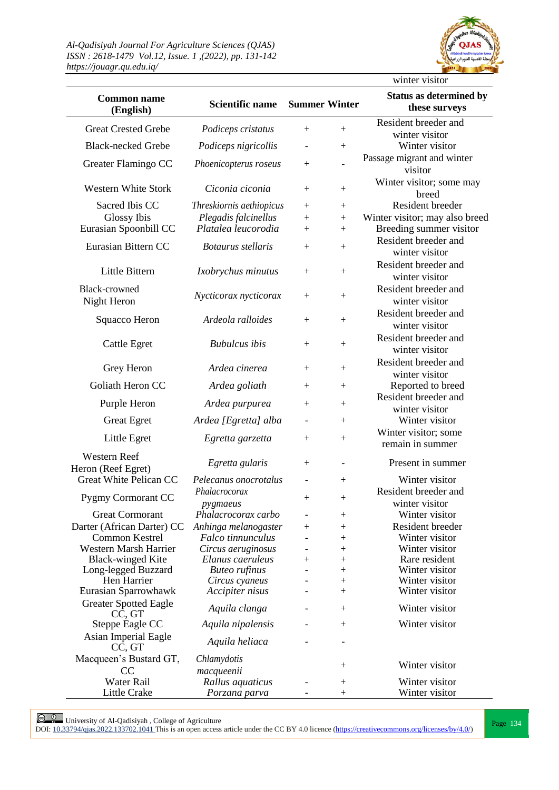

| <b>Common name</b><br>(English)              | <b>Scientific name</b>                    | <b>Summer Winter</b>     |                                          | <b>Status as determined by</b><br>these surveys |
|----------------------------------------------|-------------------------------------------|--------------------------|------------------------------------------|-------------------------------------------------|
| <b>Great Crested Grebe</b>                   | Podiceps cristatus                        | $^{+}$                   | $\ddag$                                  | Resident breeder and                            |
| <b>Black-necked Grebe</b>                    |                                           |                          |                                          | winter visitor<br>Winter visitor                |
|                                              | Podiceps nigricollis                      |                          | $\hspace{0.1mm} +$                       | Passage migrant and winter                      |
| Greater Flamingo CC                          | Phoenicopterus roseus                     | $^{+}$                   |                                          | visitor                                         |
|                                              |                                           |                          |                                          | Winter visitor; some may                        |
| <b>Western White Stork</b>                   | Ciconia ciconia                           | $^{+}$                   | $+$                                      | breed                                           |
| Sacred Ibis CC                               | Threskiornis aethiopicus                  | $^{+}$                   | $\boldsymbol{+}$                         | Resident breeder                                |
| Glossy Ibis                                  | Plegadis falcinellus                      | $^{+}$                   | $^{+}$                                   | Winter visitor; may also breed                  |
| Eurasian Spoonbill CC                        | Platalea leucorodia                       | $^{+}$                   | $^{+}$                                   | Breeding summer visitor                         |
| Eurasian Bittern CC                          | Botaurus stellaris                        | $^{+}$                   | $^{+}$                                   | Resident breeder and<br>winter visitor          |
| Little Bittern                               | Ixobrychus minutus                        | $^{+}$                   | $^{+}$                                   | Resident breeder and                            |
|                                              |                                           |                          |                                          | winter visitor                                  |
| <b>Black-crowned</b>                         | Nycticorax nycticorax                     | $^{+}$                   | $^{+}$                                   | Resident breeder and                            |
| Night Heron                                  |                                           |                          |                                          | winter visitor                                  |
| Squacco Heron                                | Ardeola ralloides                         | $^+$                     | $\ddag$                                  | Resident breeder and                            |
|                                              |                                           |                          |                                          | winter visitor                                  |
| <b>Cattle Egret</b>                          | <b>Bubulcus</b> ibis                      | $^{+}$                   | $^{+}$                                   | Resident breeder and                            |
|                                              |                                           |                          |                                          | winter visitor                                  |
| Grey Heron                                   | Ardea cinerea                             | $^{+}$                   | $+$                                      | Resident breeder and                            |
| Goliath Heron CC                             |                                           |                          |                                          | winter visitor                                  |
|                                              | Ardea goliath                             | $^{+}$                   | $+$                                      | Reported to breed<br>Resident breeder and       |
| Purple Heron                                 | Ardea purpurea                            | $^{+}$                   | $^{+}$                                   | winter visitor                                  |
| <b>Great Egret</b>                           | Ardea [Egretta] alba                      | $\overline{\phantom{a}}$ | $\boldsymbol{+}$                         | Winter visitor                                  |
|                                              |                                           |                          |                                          | Winter visitor; some                            |
| Little Egret                                 | Egretta garzetta                          | $^{+}$                   | $^+$                                     | remain in summer                                |
| Western Reef                                 | Egretta gularis                           | $^{+}$                   |                                          | Present in summer                               |
| Heron (Reef Egret)                           |                                           |                          |                                          |                                                 |
| Great White Pelican CC                       | Pelecanus onocrotalus                     | $\overline{\phantom{a}}$ | $^{+}$                                   | Winter visitor                                  |
| Pygmy Cormorant CC                           | Phalacrocorax                             | $^{+}$                   | $^{+}$                                   | Resident breeder and                            |
|                                              | pygmaeus                                  |                          |                                          | winter visitor                                  |
| <b>Great Cormorant</b>                       | Phalacrocorax carbo                       |                          | $\hspace{0.1mm} +$                       | Winter visitor<br>Resident breeder              |
| Darter (African Darter) CC<br>Common Kestrel | Anhinga melanogaster<br>Falco tinnunculus | $^+$                     | $\hspace{0.1mm} +$<br>$\hspace{0.1mm} +$ | Winter visitor                                  |
| <b>Western Marsh Harrier</b>                 | Circus aeruginosus                        |                          | $\hspace{0.1mm} +$                       | Winter visitor                                  |
| <b>Black-winged Kite</b>                     | Elanus caeruleus                          | $^+$                     | $\hspace{0.1mm} +$                       | Rare resident                                   |
| Long-legged Buzzard                          | <b>Buteo</b> rufinus                      |                          | $\hspace{0.1mm} +$                       | Winter visitor                                  |
| Hen Harrier                                  | Circus cyaneus                            |                          | $\hspace{0.1mm} +$                       | Winter visitor                                  |
| Eurasian Sparrowhawk                         | Accipiter nisus                           |                          | $\hspace{0.1mm} +$                       | Winter visitor                                  |
| <b>Greater Spotted Eagle</b><br>CC, GT       | Aquila clanga                             |                          | $\boldsymbol{+}$                         | Winter visitor                                  |
| Steppe Eagle CC                              | Aquila nipalensis                         |                          | $^{+}$                                   | Winter visitor                                  |
| Asian Imperial Eagle<br>CC, GT               | Aquila heliaca                            |                          |                                          |                                                 |
| Macqueen's Bustard GT,                       | Chlamydotis                               |                          |                                          |                                                 |
| <sub>CC</sub>                                | macqueenii                                |                          | $^+$                                     | Winter visitor                                  |
| Water Rail                                   | Rallus aquaticus                          |                          | $\hspace{0.1mm} +$                       | Winter visitor                                  |
| Little Crake                                 | Porzana parva                             |                          | $\overline{+}$                           | Winter visitor                                  |

**Page 134** University of Al-Qadisiyah, College of Agriculture<br>DOI: <u>10.33794/qjas.2022.133702.1041</u> This is an open access article under the CC BY 4.0 licence (https://creativecommons.org/licenses/by/4.0/)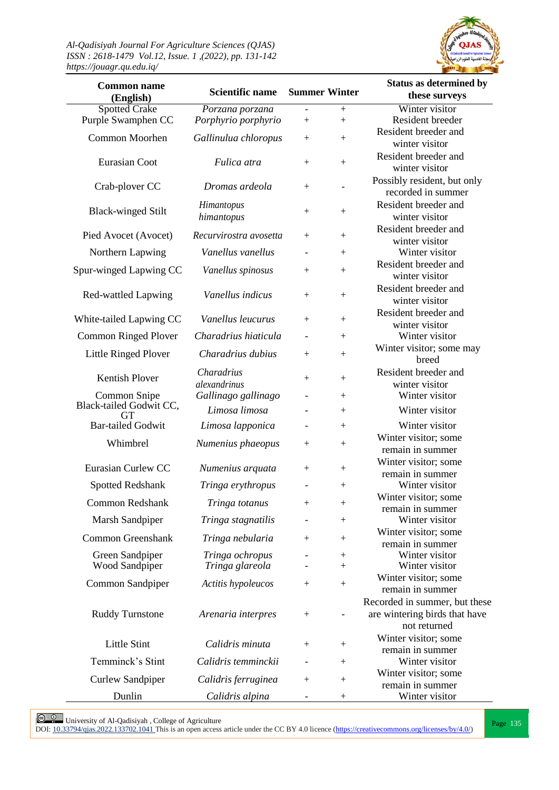

| <b>Common name</b><br>(English) | <b>Scientific name</b> | <b>Summer Winter</b>             |                  | <b>Status as determined by</b><br>these surveys |
|---------------------------------|------------------------|----------------------------------|------------------|-------------------------------------------------|
| <b>Spotted Crake</b>            | Porzana porzana        | $\equiv$                         | $+$              | Winter visitor                                  |
| Purple Swamphen CC              | Porphyrio porphyrio    | $+$                              | $\boldsymbol{+}$ | Resident breeder                                |
| Common Moorhen                  |                        |                                  |                  | Resident breeder and                            |
|                                 | Gallinulua chloropus   | $+$                              |                  | winter visitor                                  |
| Eurasian Coot                   | Fulica atra            |                                  |                  | Resident breeder and                            |
|                                 |                        | $+$                              | $\boldsymbol{+}$ | winter visitor                                  |
| Crab-plover CC                  | Dromas ardeola         | $+$                              |                  | Possibly resident, but only                     |
|                                 |                        |                                  |                  | recorded in summer                              |
| <b>Black-winged Stilt</b>       | Himantopus             | $^{+}$                           |                  | Resident breeder and                            |
|                                 | himantopus             |                                  |                  | winter visitor                                  |
| Pied Avocet (Avocet)            | Recurvirostra avosetta | $+$                              |                  | Resident breeder and                            |
|                                 |                        |                                  |                  | winter visitor                                  |
| Northern Lapwing                | Vanellus vanellus      |                                  | $^{+}$           | Winter visitor                                  |
| Spur-winged Lapwing CC          | Vanellus spinosus      | $\begin{array}{c} + \end{array}$ |                  | Resident breeder and                            |
|                                 |                        |                                  |                  | winter visitor                                  |
| Red-wattled Lapwing             | Vanellus indicus       | $\boldsymbol{+}$                 | $\boldsymbol{+}$ | Resident breeder and                            |
|                                 |                        |                                  |                  | winter visitor                                  |
| White-tailed Lapwing CC         | Vanellus leucurus      | $^{+}$                           | $\boldsymbol{+}$ | Resident breeder and                            |
|                                 | Charadrius hiaticula   |                                  |                  | winter visitor<br>Winter visitor                |
| <b>Common Ringed Plover</b>     |                        |                                  | $^{+}$           | Winter visitor; some may                        |
| Little Ringed Plover            | Charadrius dubius      | $+$                              | $\boldsymbol{+}$ | breed                                           |
|                                 | Charadrius             |                                  |                  | Resident breeder and                            |
| <b>Kentish Plover</b>           | alexandrinus           | $^{+}$                           |                  | winter visitor                                  |
| Common Snipe                    | Gallinago gallinago    |                                  |                  | Winter visitor                                  |
| Black-tailed Godwit CC,         | Limosa limosa          |                                  | $^{+}$           | Winter visitor                                  |
| <b>GT</b>                       |                        |                                  |                  |                                                 |
| <b>Bar-tailed Godwit</b>        | Limosa lapponica       |                                  | $^{+}$           | Winter visitor                                  |
| Whimbrel                        | Numenius phaeopus      | $^{+}$                           |                  | Winter visitor; some<br>remain in summer        |
|                                 |                        |                                  |                  | Winter visitor; some                            |
| Eurasian Curlew CC              | Numenius arquata       | $^{+}$                           | $^+$             | remain in summer                                |
| Spotted Redshank                | Tringa erythropus      |                                  |                  | Winter visitor                                  |
|                                 |                        |                                  |                  | Winter visitor; some                            |
| <b>Common Redshank</b>          | Tringa totanus         | $\boldsymbol{+}$                 |                  | remain in summer                                |
| Marsh Sandpiper                 | Tringa stagnatilis     |                                  | $\boldsymbol{+}$ | Winter visitor                                  |
| <b>Common Greenshank</b>        |                        |                                  |                  | Winter visitor; some                            |
|                                 | Tringa nebularia       | $^{+}$                           |                  | remain in summer                                |
| Green Sandpiper                 | Tringa ochropus        |                                  |                  | Winter visitor                                  |
| Wood Sandpiper                  | Tringa glareola        |                                  | $^{+}$           | Winter visitor                                  |
| Common Sandpiper                | Actitis hypoleucos     | $^{+}$                           |                  | Winter visitor; some                            |
|                                 |                        |                                  |                  | remain in summer                                |
|                                 |                        |                                  |                  | Recorded in summer, but these                   |
| <b>Ruddy Turnstone</b>          | Arenaria interpres     | $^{+}$                           |                  | are wintering birds that have                   |
|                                 |                        |                                  |                  | not returned                                    |
| <b>Little Stint</b>             | Calidris minuta        | $^{+}$                           | $\! + \!$        | Winter visitor; some                            |
| Temminck's Stint                | Calidris temminckii    |                                  |                  | remain in summer<br>Winter visitor              |
|                                 |                        |                                  | $^+$             | Winter visitor; some                            |
| <b>Curlew Sandpiper</b>         | Calidris ferruginea    | $^{+}$                           | $^+$             | remain in summer                                |
| Dunlin                          | Calidris alpina        |                                  | $^{+}$           | Winter visitor                                  |

**Page 135** University of Al-Qadisiyah , College of Agriculture<br>DOI: <u>10.33794/qjas.2022.133702.1041</u> This is an open access article under the CC BY 4.0 licence (https://creativecommons.org/licenses/by/4.0/)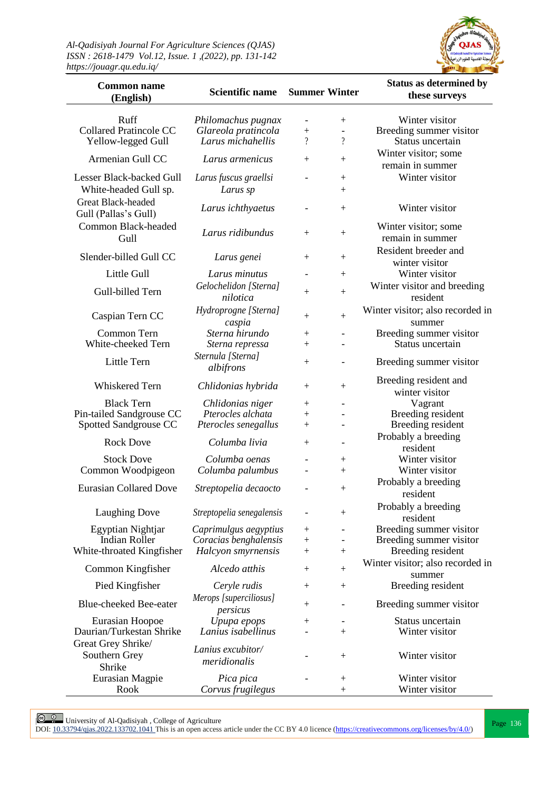

| <b>Common name</b><br>(English)                                         | <b>Scientific name</b>                                         | <b>Summer Winter</b>                         |                                                                | <b>Status as determined by</b><br>these surveys               |
|-------------------------------------------------------------------------|----------------------------------------------------------------|----------------------------------------------|----------------------------------------------------------------|---------------------------------------------------------------|
| Ruff<br><b>Collared Pratincole CC</b><br>Yellow-legged Gull             | Philomachus pugnax<br>Glareola pratincola<br>Larus michahellis | $\boldsymbol{+}$<br>$\overline{\mathcal{L}}$ | $^{+}$<br>$\overline{\phantom{a}}$<br>$\overline{\mathcal{L}}$ | Winter visitor<br>Breeding summer visitor<br>Status uncertain |
| Armenian Gull CC                                                        | Larus armenicus                                                | $+$                                          | $^{+}$                                                         | Winter visitor; some<br>remain in summer                      |
|                                                                         |                                                                |                                              |                                                                | Winter visitor                                                |
| Lesser Black-backed Gull<br>White-headed Gull sp.<br>Great Black-headed | Larus fuscus graellsi<br>Larus sp                              |                                              | $^{+}$<br>$^{+}$                                               |                                                               |
| Gull (Pallas's Gull)                                                    | Larus ichthyaetus                                              |                                              | $+$                                                            | Winter visitor                                                |
| Common Black-headed<br>Gull                                             | Larus ridibundus                                               | $^{+}$                                       | $^{+}$                                                         | Winter visitor; some<br>remain in summer                      |
| Slender-billed Gull CC                                                  | Larus genei                                                    | $^{+}$                                       | $^{+}$                                                         | Resident breeder and                                          |
|                                                                         |                                                                |                                              |                                                                | winter visitor                                                |
| Little Gull                                                             | Larus minutus                                                  |                                              | $^{+}$                                                         | Winter visitor                                                |
| Gull-billed Tern                                                        | Gelochelidon [Sterna]<br>nilotica                              | $^{+}$                                       | $^{+}$                                                         | Winter visitor and breeding<br>resident                       |
| Caspian Tern CC                                                         | Hydroprogne [Sterna]<br>caspia                                 | $^{+}$                                       | $\boldsymbol{+}$                                               | Winter visitor; also recorded in<br>summer                    |
| Common Tern                                                             | Sterna hirundo                                                 | $\boldsymbol{+}$                             | $\overline{\phantom{0}}$                                       | Breeding summer visitor                                       |
| White-cheeked Tern                                                      | Sterna repressa                                                | $\boldsymbol{+}$                             |                                                                | Status uncertain                                              |
| Little Tern                                                             | Sternula [Sterna]<br>albifrons                                 | $^{+}$                                       | $\overline{\phantom{0}}$                                       | Breeding summer visitor                                       |
| Whiskered Tern                                                          | Chlidonias hybrida                                             | $^{+}$                                       | $^{+}$                                                         | Breeding resident and                                         |
|                                                                         |                                                                |                                              |                                                                | winter visitor                                                |
| <b>Black Tern</b>                                                       | Chlidonias niger                                               | $^{+}$                                       | $\overline{\phantom{a}}$                                       | Vagrant                                                       |
| Pin-tailed Sandgrouse CC<br>Spotted Sandgrouse CC                       | Pterocles alchata<br>Pterocles senegallus                      | $^{+}$<br>$^{+}$                             | $\blacksquare$                                                 | Breeding resident<br>Breeding resident                        |
|                                                                         |                                                                |                                              |                                                                | Probably a breeding                                           |
| <b>Rock Dove</b>                                                        | Columba livia                                                  | $^{+}$                                       | $\qquad \qquad -$                                              | resident                                                      |
| <b>Stock Dove</b>                                                       | Columba oenas                                                  | $\overline{\phantom{a}}$                     | $^{+}$                                                         | Winter visitor                                                |
| Common Woodpigeon                                                       | Columba palumbus                                               |                                              | $^{+}$                                                         | Winter visitor                                                |
| <b>Eurasian Collared Dove</b>                                           | Streptopelia decaocto                                          |                                              | $^{+}$                                                         | Probably a breeding                                           |
|                                                                         |                                                                |                                              |                                                                | resident                                                      |
| <b>Laughing Dove</b>                                                    | Streptopelia senegalensis                                      |                                              | $^{+}$                                                         | Probably a breeding<br>resident                               |
| Egyptian Nightjar                                                       | Caprimulgus aegyptius                                          | $^{+}$                                       |                                                                | Breeding summer visitor                                       |
| <b>Indian Roller</b>                                                    | Coracias benghalensis                                          | $\boldsymbol{+}$                             |                                                                | Breeding summer visitor                                       |
| White-throated Kingfisher                                               | Halcyon smyrnensis                                             | $^{+}$                                       | $^{+}$                                                         | Breeding resident                                             |
| Common Kingfisher                                                       | Alcedo atthis                                                  | $^{+}$                                       | $+$                                                            | Winter visitor; also recorded in                              |
| Pied Kingfisher                                                         | Ceryle rudis                                                   | $^{+}$                                       | $^{+}$                                                         | summer<br>Breeding resident                                   |
| <b>Blue-cheeked Bee-eater</b>                                           | Merops [superciliosus]<br>persicus                             | $^{+}$                                       |                                                                | Breeding summer visitor                                       |
| Eurasian Hoopoe                                                         | Upupa epops                                                    | $^{+}$                                       |                                                                | Status uncertain                                              |
| Daurian/Turkestan Shrike                                                | Lanius isabellinus                                             |                                              | $^{+}$                                                         | Winter visitor                                                |
| Great Grey Shrike/<br>Southern Grey<br>Shrike                           | Lanius excubitor/<br>meridionalis                              |                                              | $^{+}$                                                         | Winter visitor                                                |
| Eurasian Magpie                                                         | Pica pica                                                      |                                              | $^{+}$                                                         | Winter visitor                                                |
| Rook                                                                    | Corvus frugilegus                                              |                                              | $^{+}$                                                         | Winter visitor                                                |

**Page 136** University of Al-Qadisiyah , College of Agriculture<br>DOI: <u>10.33794/qjas.2022.133702.1041</u> This is an open access article under the CC BY 4.0 licence (https://creativecommons.org/licenses/by/4.0/)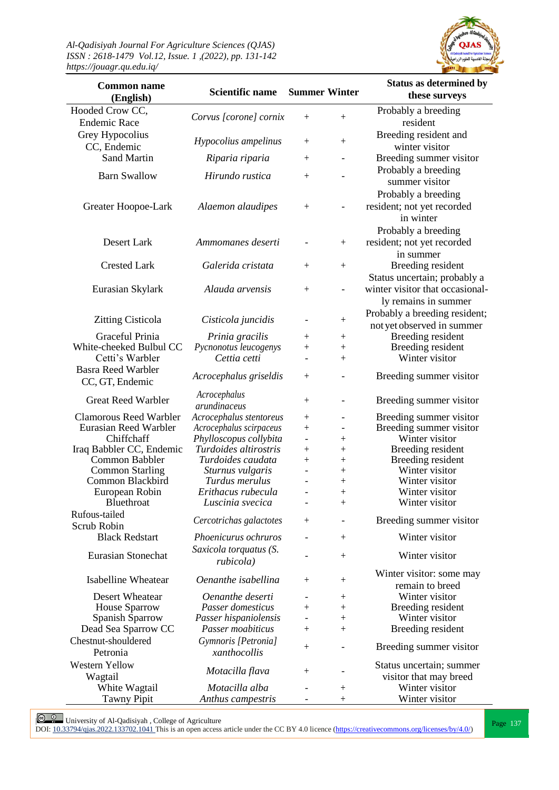

| <b>Common name</b><br>(English)              | <b>Scientific name</b>                     | <b>Summer Winter</b>     |                              | <b>Status as determined by</b><br>these surveys |
|----------------------------------------------|--------------------------------------------|--------------------------|------------------------------|-------------------------------------------------|
| Hooded Crow CC,                              |                                            |                          |                              | Probably a breeding                             |
| <b>Endemic Race</b>                          | Corvus [corone] cornix                     | $^{+}$                   | $+$                          | resident                                        |
| Grey Hypocolius                              |                                            |                          |                              | Breeding resident and                           |
| CC, Endemic                                  | Hypocolius ampelinus                       | $^{+}$                   | $\boldsymbol{+}$             | winter visitor                                  |
| <b>Sand Martin</b><br>Riparia riparia        |                                            | $^{+}$                   | $\overline{\phantom{a}}$     | Breeding summer visitor                         |
|                                              |                                            |                          |                              | Probably a breeding                             |
| <b>Barn Swallow</b>                          | Hirundo rustica                            | $^{+}$                   |                              | summer visitor                                  |
|                                              |                                            |                          |                              | Probably a breeding                             |
| Greater Hoopoe-Lark                          | Alaemon alaudipes                          | $^{+}$                   |                              | resident; not yet recorded                      |
|                                              |                                            |                          |                              | in winter                                       |
|                                              |                                            |                          |                              | Probably a breeding                             |
| Desert Lark                                  | Ammomanes deserti                          |                          | $^{+}$                       | resident; not yet recorded                      |
|                                              |                                            |                          |                              | in summer                                       |
| <b>Crested Lark</b>                          | Galerida cristata                          | $^{+}$                   | $^{+}$                       | Breeding resident                               |
|                                              |                                            |                          |                              | Status uncertain; probably a                    |
| Eurasian Skylark                             | Alauda arvensis                            | $\overline{+}$           | $\overline{\phantom{a}}$     | winter visitor that occasional-                 |
|                                              |                                            |                          |                              | ly remains in summer                            |
|                                              |                                            |                          |                              | Probably a breeding resident;                   |
| <b>Zitting Cisticola</b>                     | Cisticola juncidis                         |                          | $^{+}$                       | not yet observed in summer                      |
| Graceful Prinia                              | Prinia gracilis                            | $^+$                     | $^{+}$                       | Breeding resident                               |
| White-cheeked Bulbul CC                      | Pycnonotus leucogenys                      | $^{+}$                   |                              | Breeding resident                               |
| Cetti's Warbler                              | Cettia cetti                               | $\overline{\phantom{a}}$ | $\overline{+}$               | Winter visitor                                  |
| <b>Basra Reed Warbler</b><br>CC, GT, Endemic | Acrocephalus griseldis                     | $^{+}$                   | $\overline{\phantom{a}}$     | Breeding summer visitor                         |
|                                              | Acrocephalus                               |                          |                              |                                                 |
| <b>Great Reed Warbler</b>                    | arundinaceus                               | $^{+}$                   | $\overline{\phantom{m}}$     | Breeding summer visitor                         |
| <b>Clamorous Reed Warbler</b>                | Acrocephalus stentoreus                    | $^+$                     |                              | Breeding summer visitor                         |
| Eurasian Reed Warbler                        | Acrocephalus scirpaceus                    | $\overline{+}$           | $\overline{\phantom{a}}$     | Breeding summer visitor                         |
| Chiffchaff                                   | Phylloscopus collybita                     | $\overline{\phantom{a}}$ | $^+$                         | Winter visitor                                  |
| Iraq Babbler CC, Endemic                     | Turdoides altirostris<br>Turdoides caudata | $^+$                     | $^+$                         | Breeding resident                               |
| Common Babbler<br><b>Common Starling</b>     | Sturnus vulgaris                           | $\boldsymbol{+}$         | $\hspace{0.1mm} +$<br>$^{+}$ | Breeding resident<br>Winter visitor             |
| Common Blackbird                             | Turdus merulus                             |                          | $^{+}$                       | Winter visitor                                  |
| European Robin                               | Erithacus rubecula                         |                          | $^{+}$                       | Winter visitor                                  |
| Bluethroat                                   | Luscinia svecica                           |                          | $^{+}$                       | Winter visitor                                  |
| Rufous-tailed                                |                                            |                          |                              |                                                 |
| <b>Scrub Robin</b>                           | Cercotrichas galactotes                    | $\boldsymbol{+}$         |                              | Breeding summer visitor                         |
| <b>Black Redstart</b>                        | Phoenicurus ochruros                       |                          | $^{+}$                       | Winter visitor                                  |
| Eurasian Stonechat                           | Saxicola torquatus (S.                     |                          |                              | Winter visitor                                  |
|                                              | rubicola)                                  |                          | $^{+}$                       |                                                 |
| <b>Isabelline Wheatear</b>                   | Oenanthe isabellina                        |                          |                              | Winter visitor: some may                        |
|                                              |                                            | $^+$                     | $^{+}$                       | remain to breed                                 |
| Desert Wheatear                              | Oenanthe deserti                           |                          | $^+$                         | Winter visitor                                  |
| <b>House Sparrow</b>                         | Passer domesticus                          | $^{+}$                   | $^+$                         | Breeding resident                               |
| Spanish Sparrow                              | Passer hispaniolensis                      |                          | $\boldsymbol{+}$             | Winter visitor                                  |
| Dead Sea Sparrow CC                          | Passer moabiticus                          | $^{+}$                   | $\boldsymbol{+}$             | Breeding resident                               |
| Chestnut-shouldered                          | Gymnoris [Petronia]                        | $^+$                     |                              | Breeding summer visitor                         |
| Petronia                                     | xanthocollis                               |                          |                              |                                                 |
| <b>Western Yellow</b>                        | Motacilla flava                            | $^+$                     |                              | Status uncertain; summer                        |
| Wagtail                                      |                                            |                          |                              | visitor that may breed                          |
| White Wagtail<br><b>Tawny Pipit</b>          | Motacilla alba<br>Anthus campestris        |                          | $^{+}$<br>$\boldsymbol{+}$   | Winter visitor<br>Winter visitor                |
|                                              |                                            |                          |                              |                                                 |

**Page 137** University of Al-Qadisiyah , College of Agriculture<br>DOI: <u>10.33794/qjas.2022.133702.1041</u> This is an open access article under the CC BY 4.0 licence (https://creativecommons.org/licenses/by/4.0/)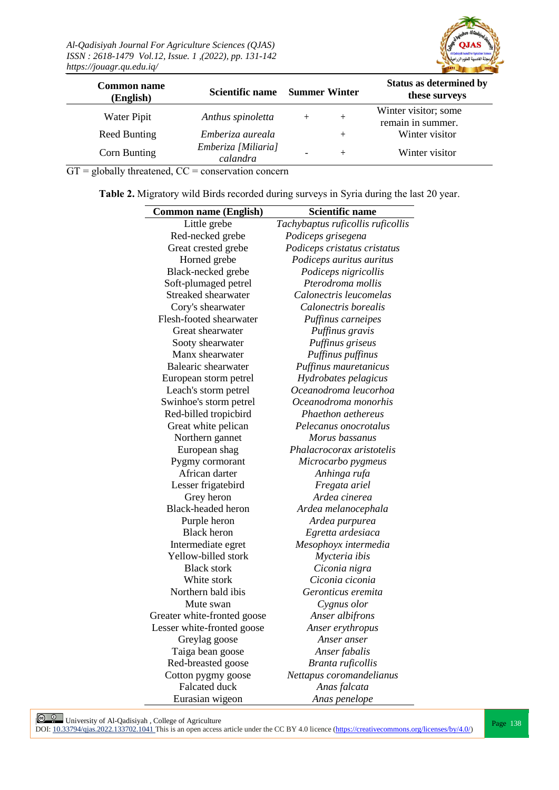

| <b>Common name</b><br>(English) | Scientific name                 | <b>Summer Winter</b> | <b>Status as determined by</b><br>these surveys |
|---------------------------------|---------------------------------|----------------------|-------------------------------------------------|
| Water Pipit                     | Anthus spinoletta               | $+$                  | Winter visitor; some<br>remain in summer.       |
| <b>Reed Bunting</b>             | Emberiza aureala                | $^{+}$               | Winter visitor                                  |
| Corn Bunting                    | Emberiza [Miliaria]<br>calandra | $^{+}$               | Winter visitor                                  |

 $GT =$  globally threatened,  $CC =$  conservation concern

**Table 2.** Migratory wild Birds recorded during surveys in Syria during the last 20 year.

| <b>Common name (English)</b> | <b>Scientific name</b>            |
|------------------------------|-----------------------------------|
| Little grebe                 | Tachybaptus ruficollis ruficollis |
| Red-necked grebe             | Podiceps grisegena                |
| Great crested grebe          | Podiceps cristatus cristatus      |
| Horned grebe                 | Podiceps auritus auritus          |
| Black-necked grebe           | Podiceps nigricollis              |
| Soft-plumaged petrel         | Pterodroma mollis                 |
| Streaked shearwater          | Calonectris leucomelas            |
| Cory's shearwater            | Calonectris borealis              |
| Flesh-footed shearwater      | Puffinus carneipes                |
| Great shearwater             | Puffinus gravis                   |
| Sooty shearwater             | Puffinus griseus                  |
| Manx shearwater              | Puffinus puffinus                 |
| Balearic shearwater          | Puffinus mauretanicus             |
| European storm petrel        | Hydrobates pelagicus              |
| Leach's storm petrel         | Oceanodroma leucorhoa             |
| Swinhoe's storm petrel       | Oceanodroma monorhis              |
| Red-billed tropicbird        | Phaethon aethereus                |
| Great white pelican          | Pelecanus onocrotalus             |
| Northern gannet              | Morus bassanus                    |
| European shag                | Phalacrocorax aristotelis         |
| Pygmy cormorant              | Microcarbo pygmeus                |
| African darter               | Anhinga rufa                      |
| Lesser frigatebird           | Fregata ariel                     |
| Grey heron                   | Ardea cinerea                     |
| <b>Black-headed heron</b>    | Ardea melanocephala               |
| Purple heron                 | Ardea purpurea                    |
| <b>Black</b> heron           | Egretta ardesiaca                 |
| Intermediate egret           | Mesophoyx intermedia              |
| Yellow-billed stork          | Mycteria ibis                     |
| <b>Black stork</b>           | Ciconia nigra                     |
| White stork                  | Ciconia ciconia                   |
| Northern bald ibis           | Geronticus eremita                |
| Mute swan                    | Cygnus olor                       |
| Greater white-fronted goose  | Anser albifrons                   |
| Lesser white-fronted goose   | Anser erythropus                  |
| Greylag goose                | Anser anser                       |
| Taiga bean goose             | Anser fabalis                     |
| Red-breasted goose           | Branta ruficollis                 |
| Cotton pygmy goose           | Nettapus coromandelianus          |
| <b>Falcated duck</b>         | Anas falcata                      |
| Eurasian wigeon              | Anas penelope                     |

**Page 138** University of Al-Qadisiyah, College of Agriculture<br>DOI: <u>10.33794/qjas.2022.133702.1041</u> This is an open access article under the CC BY 4.0 licence (https://creativecommons.org/licenses/by/4.0/)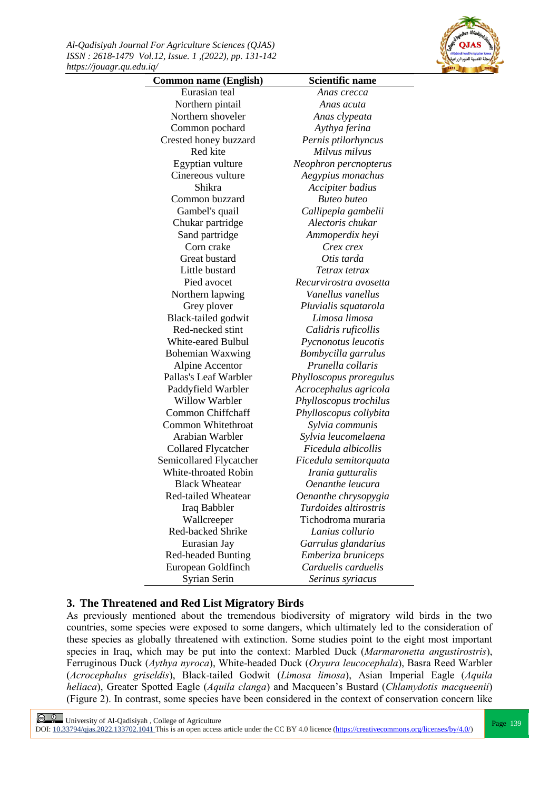*Al-Qadisiyah Journal For Agriculture Sciences (QJAS) ISSN : 2618-1479 Vol.12, Issue. 1 ,(2022), pp. 131-142 https://jouagr.qu.edu.iq/*



| <b>Common name (English)</b> | <b>Scientific name</b>  |
|------------------------------|-------------------------|
| Eurasian teal                | Anas crecca             |
| Northern pintail             | Anas acuta              |
| Northern shoveler            | Anas clypeata           |
| Common pochard               | Aythya ferina           |
| Crested honey buzzard        | Pernis ptilorhyncus     |
| Red kite                     | Milvus milvus           |
| Egyptian vulture             | Neophron percnopterus   |
| Cinereous vulture            | Aegypius monachus       |
| Shikra                       | Accipiter badius        |
| Common buzzard               | <b>Buteo</b> buteo      |
| Gambel's quail               | Callipepla gambelii     |
| Chukar partridge             | Alectoris chukar        |
| Sand partridge               | Ammoperdix heyi         |
| Corn crake                   | Crex crex               |
| Great bustard                | Otis tarda              |
| Little bustard               | Tetrax tetrax           |
| Pied avocet                  | Recurvirostra avosetta  |
| Northern lapwing             | Vanellus vanellus       |
| Grey plover                  | Pluvialis squatarola    |
| Black-tailed godwit          | Limosa limosa           |
| Red-necked stint             | Calidris ruficollis     |
| White-eared Bulbul           | Pycnonotus leucotis     |
| <b>Bohemian Waxwing</b>      | Bombycilla garrulus     |
| Alpine Accentor              | Prunella collaris       |
| Pallas's Leaf Warbler        | Phylloscopus proregulus |
| Paddyfield Warbler           | Acrocephalus agricola   |
| Willow Warbler               | Phylloscopus trochilus  |
| Common Chiffchaff            | Phylloscopus collybita  |
| Common Whitethroat           | Sylvia communis         |
| Arabian Warbler              | Sylvia leucomelaena     |
| <b>Collared Flycatcher</b>   | Ficedula albicollis     |
| Semicollared Flycatcher      | Ficedula semitorquata   |
| White-throated Robin         | Irania gutturalis       |
| <b>Black Wheatear</b>        | Oenanthe leucura        |
| Red-tailed Wheatear          | Oenanthe chrysopygia    |
| Iraq Babbler                 | Turdoides altirostris   |
| Wallcreeper                  | Tichodroma muraria      |
| Red-backed Shrike            | Lanius collurio         |
| Eurasian Jay                 | Garrulus glandarius     |
| Red-headed Bunting           | Emberiza bruniceps      |
| European Goldfinch           | Carduelis carduelis     |
| Syrian Serin                 | Serinus syriacus        |
|                              |                         |

## **3. The Threatened and Red List Migratory Birds**

As previously mentioned about the tremendous biodiversity of migratory wild birds in the two countries, some species were exposed to some dangers, which ultimately led to the consideration of these species as globally threatened with extinction. Some studies point to the eight most important species in Iraq, which may be put into the context: Marbled Duck (*Marmaronetta angustirostris*), Ferruginous Duck (*Aythya nyroca*), White-headed Duck (*Oxyura leucocephala*), Basra Reed Warbler (*Acrocephalus griseldis*), Black-tailed Godwit (*Limosa limosa*), Asian Imperial Eagle (*Aquila heliaca*), Greater Spotted Eagle (*Aquila clanga*) and Macqueen's Bustard (*Chlamydotis macqueenii*) (Figure 2). In contrast, some species have been considered in the context of conservation concern like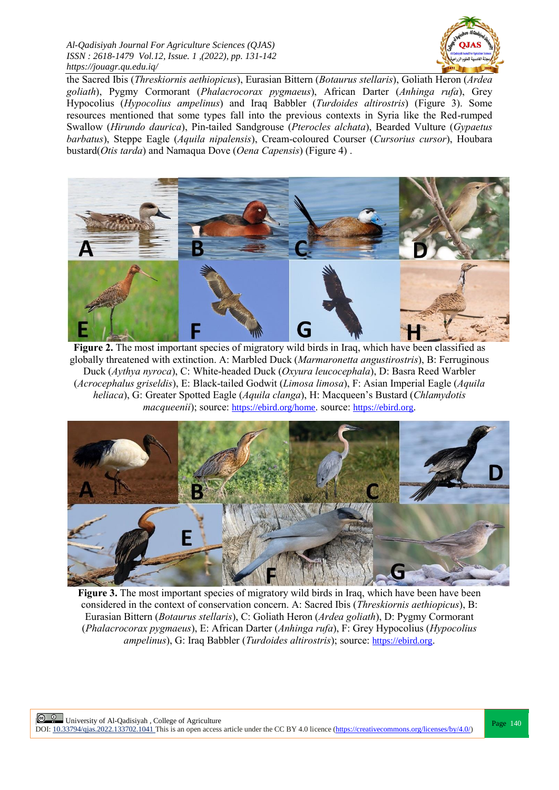

the Sacred Ibis (*Threskiornis aethiopicus*), Eurasian Bittern (*Botaurus stellaris*), Goliath Heron (*Ardea goliath*), Pygmy Cormorant (*Phalacrocorax pygmaeus*), African Darter (*Anhinga rufa*), Grey Hypocolius (*Hypocolius ampelinus*) and Iraq Babbler (*Turdoides altirostris*) (Figure 3). Some resources mentioned that some types fall into the previous contexts in Syria like the Red-rumped Swallow (*Hirundo daurica*), Pin-tailed Sandgrouse (*Pterocles alchata*), Bearded Vulture (*Gypaetus barbatus*), Steppe Eagle (*Aquila nipalensis*), Cream-coloured Courser (*Cursorius cursor*), Houbara bustard(*Otis tarda*) and Namaqua Dove (*Oena Capensis*) (Figure 4) .



Figure 2. The most important species of migratory wild birds in Iraq, which have been classified as globally threatened with extinction. A: Marbled Duck (*Marmaronetta angustirostris*), B: Ferruginous Duck (*Aythya nyroca*), C: White-headed Duck (*Oxyura leucocephala*), D: Basra Reed Warbler (*Acrocephalus griseldis*), E: Black-tailed Godwit (*Limosa limosa*), F: Asian Imperial Eagle (*Aquila heliaca*), G: Greater Spotted Eagle (*Aquila clanga*), H: Macqueen's Bustard (*Chlamydotis macqueenii*); source: <https://ebird.org/home>. source: [https://ebird.org](https://ebird.org/).



**Figure 3.** The most important species of migratory wild birds in Iraq, which have been have been considered in the context of conservation concern. A: Sacred Ibis (*Threskiornis aethiopicus*), B: Eurasian Bittern (*Botaurus stellaris*), C: Goliath Heron (*Ardea goliath*), D: Pygmy Cormorant (*Phalacrocorax pygmaeus*), E: African Darter (*Anhinga rufa*), F: Grey Hypocolius (*Hypocolius ampelinus*), G: Iraq Babbler (*Turdoides altirostris*); source: [https://ebird.org](https://ebird.org/home).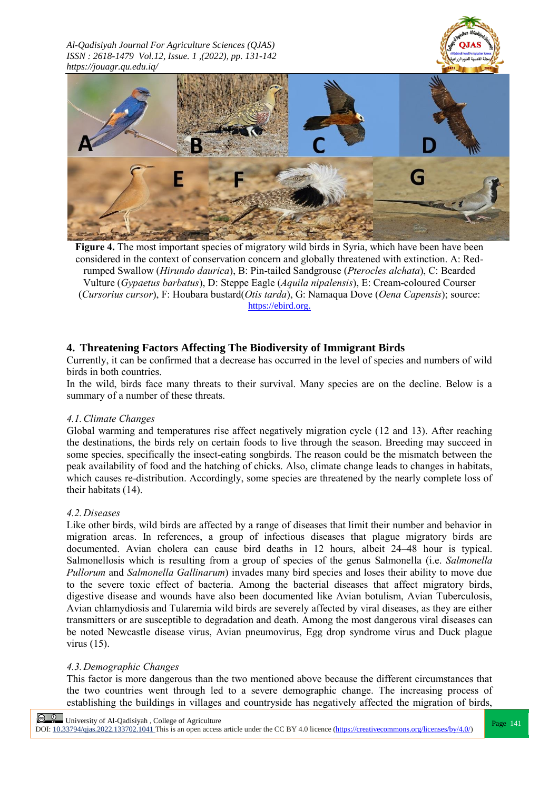



**Figure 4.** The most important species of migratory wild birds in Syria, which have been have been considered in the context of conservation concern and globally threatened with extinction. A: Redrumped Swallow (*Hirundo daurica*), B: Pin-tailed Sandgrouse (*Pterocles alchata*), C: Bearded Vulture (*Gypaetus barbatus*), D: Steppe Eagle (*Aquila nipalensis*), E: Cream-coloured Courser (*Cursorius cursor*), F: Houbara bustard(*Otis tarda*), G: Namaqua Dove (*Oena Capensis*); source: [https://ebird.org.](https://ebird.org/home)

# **4. Threatening Factors Affecting The Biodiversity of Immigrant Birds**

Currently, it can be confirmed that a decrease has occurred in the level of species and numbers of wild birds in both countries.

In the wild, birds face many threats to their survival. Many species are on the decline. Below is a summary of a number of these threats.

#### *4.1.Climate Changes*

Global warming and temperatures rise affect negatively migration cycle (12 and 13). After reaching the destinations, the birds rely on certain foods to live through the season. Breeding may succeed in some species, specifically the insect-eating songbirds. The reason could be the mismatch between the peak availability of food and the hatching of chicks. Also, climate change leads to changes in habitats, which causes re-distribution. Accordingly, some species are threatened by the nearly complete loss of their habitats (14).

#### *4.2.Diseases*

Like other birds, wild birds are affected by a range of diseases that limit their number and behavior in migration areas. In references, a group of infectious diseases that plague migratory birds are documented. Avian cholera can cause bird deaths in 12 hours, albeit 24–48 hour is typical. Salmonellosis which is resulting from a group of species of the genus Salmonella (i.e. *Salmonella Pullorum* and *Salmonella Gallinarum*) invades many bird species and loses their ability to move due to the severe toxic effect of bacteria. Among the bacterial diseases that affect migratory birds, digestive disease and wounds have also been documented like Avian botulism, Avian Tuberculosis, Avian chlamydiosis and Tularemia wild birds are severely affected by viral diseases, as they are either transmitters or are susceptible to degradation and death. Among the most dangerous viral diseases can be noted Newcastle disease virus, Avian pneumovirus, Egg drop syndrome virus and Duck plague virus (15).

#### *4.3.Demographic Changes*

This factor is more dangerous than the two mentioned above because the different circumstances that the two countries went through led to a severe demographic change. The increasing process of establishing the buildings in villages and countryside has negatively affected the migration of birds,